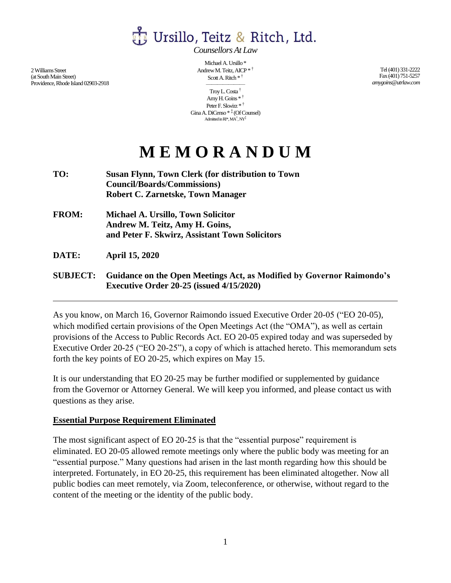Ursillo, Teitz & Ritch, Ltd.

*Counsellors At Law*

2Williams Street (at South Main Street) Providence, Rhode Island 02903-2918

Michael A. Ursillo \* Andrew M. Teitz, AICP \* † Scott A. Ritch \* †

——————— Troy L. Costa † Amy H. Goins \* † Peter F. Skwirz \* † Gina A. DiCenso \* ‡ (Of Counsel) Admitted in  $RI^*, MA^\dagger, NY^\ddagger$ 

Tel (401) 331-2222 Fax (401) 751-5257 *amygoins@utrlaw.com*

## **M E M O R A N D U M**

- **TO: Susan Flynn, Town Clerk (for distribution to Town Council/Boards/Commissions) Robert C. Zarnetske, Town Manager**
- **FROM: Michael A. Ursillo, Town Solicitor Andrew M. Teitz, Amy H. Goins, and Peter F. Skwirz, Assistant Town Solicitors**
- **DATE: April 15, 2020**
- **SUBJECT: Guidance on the Open Meetings Act, as Modified by Governor Raimondo's Executive Order 20-25 (issued 4/15/2020)**

As you know, on March 16, Governor Raimondo issued Executive Order 20-05 ("EO 20-05), which modified certain provisions of the Open Meetings Act (the "OMA"), as well as certain provisions of the Access to Public Records Act. EO 20-05 expired today and was superseded by Executive Order 20-25 ("EO 20-25"), a copy of which is attached hereto. This memorandum sets forth the key points of EO 20-25, which expires on May 15.

It is our understanding that EO 20-25 may be further modified or supplemented by guidance from the Governor or Attorney General. We will keep you informed, and please contact us with questions as they arise.

## **Essential Purpose Requirement Eliminated**

The most significant aspect of EO 20-25 is that the "essential purpose" requirement is eliminated. EO 20-05 allowed remote meetings only where the public body was meeting for an "essential purpose." Many questions had arisen in the last month regarding how this should be interpreted. Fortunately, in EO 20-25, this requirement has been eliminated altogether. Now all public bodies can meet remotely, via Zoom, teleconference, or otherwise, without regard to the content of the meeting or the identity of the public body.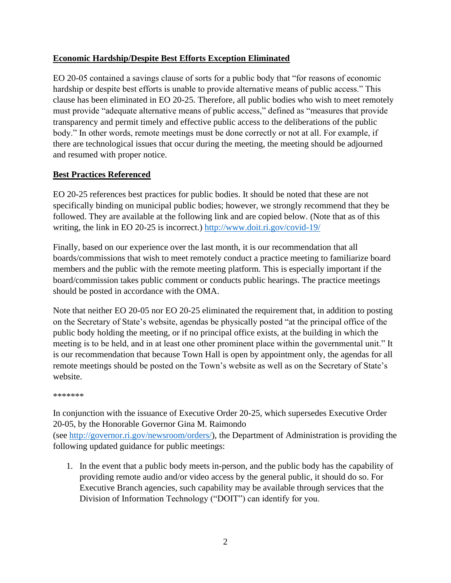## **Economic Hardship/Despite Best Efforts Exception Eliminated**

EO 20-05 contained a savings clause of sorts for a public body that "for reasons of economic hardship or despite best efforts is unable to provide alternative means of public access." This clause has been eliminated in EO 20-25. Therefore, all public bodies who wish to meet remotely must provide "adequate alternative means of public access," defined as "measures that provide transparency and permit timely and effective public access to the deliberations of the public body." In other words, remote meetings must be done correctly or not at all. For example, if there are technological issues that occur during the meeting, the meeting should be adjourned and resumed with proper notice.

## **Best Practices Referenced**

EO 20-25 references best practices for public bodies. It should be noted that these are not specifically binding on municipal public bodies; however, we strongly recommend that they be followed. They are available at the following link and are copied below. (Note that as of this writing, the link in EO 20-25 is incorrect.)<http://www.doit.ri.gov/covid-19/>

Finally, based on our experience over the last month, it is our recommendation that all boards/commissions that wish to meet remotely conduct a practice meeting to familiarize board members and the public with the remote meeting platform. This is especially important if the board/commission takes public comment or conducts public hearings. The practice meetings should be posted in accordance with the OMA.

Note that neither EO 20-05 nor EO 20-25 eliminated the requirement that, in addition to posting on the Secretary of State's website, agendas be physically posted "at the principal office of the public body holding the meeting, or if no principal office exists, at the building in which the meeting is to be held, and in at least one other prominent place within the governmental unit." It is our recommendation that because Town Hall is open by appointment only, the agendas for all remote meetings should be posted on the Town's website as well as on the Secretary of State's website.

\*\*\*\*\*\*\*

In conjunction with the issuance of Executive Order 20-25, which supersedes Executive Order 20-05, by the Honorable Governor Gina M. Raimondo (see [http://governor.ri.gov/newsroom/orders/\)](http://governor.ri.gov/newsroom/orders/), the Department of Administration is providing the following updated guidance for public meetings:

1. In the event that a public body meets in-person, and the public body has the capability of providing remote audio and/or video access by the general public, it should do so. For Executive Branch agencies, such capability may be available through services that the Division of Information Technology ("DOIT") can identify for you.